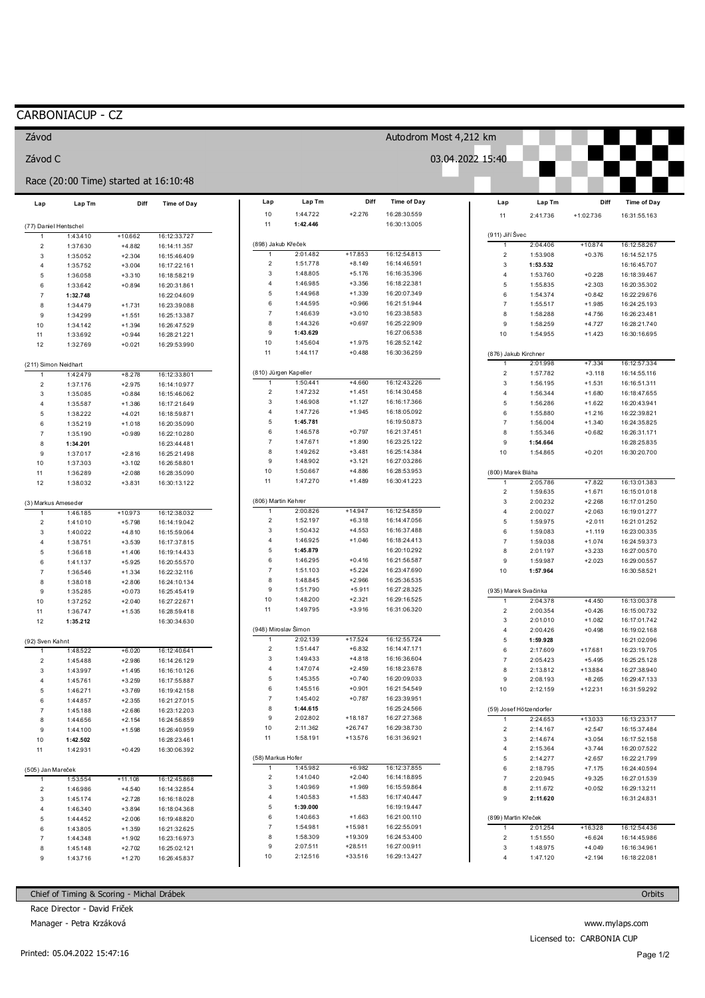## CARBONIACUP - CZ

Závod

Závod C

| Race (20:00 Time) started at 16:10:48 |                      |                      |                              |                         |                       |                        |                              |                     |                                  |                      |                              |
|---------------------------------------|----------------------|----------------------|------------------------------|-------------------------|-----------------------|------------------------|------------------------------|---------------------|----------------------------------|----------------------|------------------------------|
| Lap                                   | Lap Tm               | Diff                 | Time of Day                  | Lap                     | Lap Tm                | Diff                   | Time of Day                  | Lap                 | Lap Tm                           | Diff                 | Time of Day                  |
|                                       |                      |                      |                              | 10                      | 1:44.722<br>1:42.446  | $+2.276$               | 16:28:30.559                 | 11                  | 2:41.736                         | $+1:02.736$          | 16:31:55.163                 |
| (77) Daniel Hentschel                 | 1:43.410             | $+10.662$            | 16:12:33.727                 | 11                      |                       |                        | 16:30:13.005                 | (911) Jiří Švec     |                                  |                      |                              |
| 1<br>$\overline{2}$                   | 1:37.630             | $+4.882$             | 16:14:11.357                 |                         | (898) Jakub Křeček    |                        |                              | $\mathbf{1}$        | 2:04.406                         | $+10.874$            | 16:12:58.267                 |
| 3                                     | 1:35.052             | $+2.304$             | 16:15:46.409                 | $\mathbf{1}$            | 2:01.482              | $+17.853$              | 16:12:54.813                 | $\sqrt{2}$          | 1:53.908                         | $+0.376$             | 16:14:52.175                 |
| 4                                     | 1:35.752             | $+3.004$             | 16:17:22.161                 | $\overline{2}$          | 1:51.778              | $+8.149$               | 16:14:46.591                 | $\mathbf{3}$        | 1:53.532                         |                      | 16:16:45.707                 |
| 5                                     | 1:36.058             | $+3.310$             | 16:18:58.219                 | 3                       | 1:48.805              | $+5.176$               | 16:16:35.396                 | $\overline{4}$      | 1:53.760                         | $+0.228$             | 16:18:39.467                 |
| 6                                     | 1:33.642             | $+0.894$             | 16:20:31.861                 | $\overline{4}$          | 1:46.985              | $+3.356$               | 16:18:22.381                 | 5                   | 1:55.835                         | $+2.303$             | 16:20:35.302                 |
| $\overline{7}$                        | 1:32.748             |                      | 16:22:04.609                 | 5                       | 1:44.968              | $+1.339$               | 16:20:07.349                 | $\,6$               | 1:54.374                         | $+0.842$             | 16:22:29.676                 |
| 8                                     | 1:34.479             | $+1.731$             | 16:23:39.088                 | 6                       | 1:44.595              | $+0.966$               | 16:21:51.944                 | $\overline{7}$      | 1:55.517                         | $+1.985$             | 16:24:25.193                 |
| 9                                     | 1:34.299             | $+1.551$             | 16:25:13.387                 | $\overline{7}$<br>8     | 1:46.639<br>1:44.326  | $+3.010$<br>$+0.697$   | 16:23:38.583<br>16:25:22.909 | 8                   | 1:58.288                         | $+4.756$             | 16:26:23.481                 |
| 10                                    | 1:34.142             | $+1.394$             | 16:26:47.529                 | 9                       | 1:43.629              |                        | 16:27:06.538                 | 9<br>10             | 1:58.259                         | $+4.727$             | 16:28:21.740                 |
| 11                                    | 1:33.692             | $+0.944$             | 16:28:21.221                 | 10                      | 1:45.604              | $+1.975$               | 16:28:52.142                 |                     | 1:54.955                         | $+1.423$             | 16:30:16.695                 |
| 12                                    | 1:32.769             | $+0.021$             | 16:29:53.990                 | 11                      | 1:44.117              | $+0.488$               | 16:30:36.259                 |                     | (876) Jakub Kirchner             |                      |                              |
| (211) Simon Neidhart                  |                      |                      |                              |                         |                       |                        |                              | 2:01.998            | $+7.334$                         | 16:12:57.334         |                              |
| 1                                     | 1:42.479             | $+8.278$             | 16:12:33.801                 |                         | (810) Jürgen Kapeller |                        |                              | $\overline{2}$      | 1:57.782                         | $+3.118$             | 16:14:55.116                 |
| $\overline{c}$                        | 1:37.176             | $+2.975$             | 16:14:10.977                 | $\mathbf{1}$            | 1:50.441              | $+4.660$               | 16:12:43.226                 | $\mathbf{3}$        | 1:56.195                         | $+1.531$             | 16:16:51.311                 |
| 3                                     | 1:35.085             | $+0.884$             | 16:15:46.062                 | $\overline{\mathbf{c}}$ | 1:47.232              | $+1.451$               | 16:14:30.458                 | $\sqrt{4}$          | 1:56.344                         | $+1.680$             | 16:18:47.655                 |
| 4                                     | 1:35.587             | $+1.386$             | 16:17:21.649                 | 3                       | 1:46.908              | $+1.127$               | 16:16:17.366                 | 5                   | 1:56.286                         | $+1.622$             | 16:20:43.941                 |
| 5                                     | 1:38.222             | $+4.021$             | 16:18:59.871                 | $\overline{4}$          | 1:47.726              | $+1.945$               | 16:18:05.092                 | $\,6$               | 1:55.880                         | $+1.216$             | 16:22:39.821                 |
| 6                                     | 1:35.219             | $+1.018$             | 16:20:35.090                 | 5<br>6                  | 1:45.781              |                        | 16:19:50.873<br>16:21:37.451 | $\overline{7}$      | 1:56.004                         | $+1.340$             | 16:24:35.825                 |
| $\overline{7}$                        | 1:35.190             | $+0.989$             | 16:22:10.280                 | $\overline{7}$          | 1:46.578<br>1:47.671  | $+0.797$<br>$+1.890$   | 16:23:25.122                 | 8                   | 1:55.346                         | $+0.682$             | 16:26:31.171                 |
| 8                                     | 1:34.201             |                      | 16:23:44.481                 | 8                       | 1:49.262              | $+3.481$               | 16:25:14.384                 | 9<br>10             | 1:54.664<br>1:54.865             | $+0.201$             | 16:28:25.835<br>16:30:20.700 |
| 9                                     | 1:37.017             | $+2.816$             | 16:25:21.498                 | 9                       | 1:48.902              | $+3.121$               | 16:27:03.286                 |                     |                                  |                      |                              |
| 10<br>11                              | 1:37.303<br>1:36.289 | $+3.102$<br>$+2.088$ | 16:26:58.801<br>16:28:35.090 | $10$                    | 1:50.667              | $+4.886$               | 16:28:53.953                 |                     | (800) Marek Bláha                |                      |                              |
| 12                                    | 1:38.032             | $+3.831$             | 16:30:13.122                 | 11                      | 1:47.270              | $+1.489$               | 16:30:41.223                 | $\mathbf{1}$        | 2:05.786                         | $+7.822$             | 16:13:01.383                 |
|                                       |                      |                      |                              |                         |                       |                        |                              | $\sqrt{2}$          | 1:59.635                         | $+1.671$             | 16:15:01.018                 |
| (3) Markus Ameseder                   |                      |                      |                              |                         | (806) Martin Kehrer   |                        |                              | $\mathbf{3}$        | 2:00.232                         | $+2.268$             | 16:17:01.250                 |
|                                       | 1:46.185             | $+10.973$            | 16:12:38.032                 | $\mathbf{1}$            | 2:00.826              | $+14.947$              | 16:12:54.859                 | $\sqrt{4}$          | 2:00.027                         | $+2.063$             | 16:19:01.277                 |
| $\overline{2}$                        | 1:41.010             | $+5.798$             | 16:14:19.042                 | $\overline{\mathbf{c}}$ | 1:52.197              | $+6.318$               | 16:14:47.056                 | 5                   | 1:59.975                         | $+2.011$             | 16:21:01.252                 |
| 3                                     | 1:40.022             | $+4.810$             | 16:15:59.064                 | 3                       | 1:50.432              | $+4.553$               | 16:16:37.488                 | $\,6$               | 1:59.083                         | $+1.119$             | 16:23:00.335                 |
| 4                                     | 1:38.751             | $+3.539$             | 16:17:37.815                 | 4                       | 1:46.925              | $+1.046$               | 16:18:24.413                 | $\overline{7}$      | 1:59.038                         | $+1.074$             | 16:24:59.373                 |
| 5                                     | 1:36.618             | $+1.406$             | 16:19:14.433                 | 5                       | 1:45.879              |                        | 16:20:10.292                 | 8                   | 2:01.197                         | $+3.233$             | 16:27:00.570                 |
| 6                                     | 1:41.137             | $+5.925$             | 16:20:55.570                 | 6                       | 1:46.295              | $+0.416$               | 16:21:56.587                 | 9                   | 1:59.987                         | $+2.023$             | 16:29:00.557                 |
| $\overline{7}$                        | 1:36.546             | $+1.334$             | 16:22:32.116                 | $\overline{7}$<br>8     | 1:51.103              | $+5.224$               | 16:23:47.690                 | 10                  | 1:57.964                         |                      | 16:30:58.521                 |
| 8                                     | 1:38.018             | $+2.806$             | 16:24:10.134                 | 9                       | 1:48.845<br>1:51.790  | $+2.966$<br>$+5.911$   | 16:25:36.535<br>16:27:28.325 |                     |                                  |                      |                              |
| 9                                     | 1:35.285             | $+0.073$             | 16:25:45.419                 | 10                      | 1:48.200              | $+2.321$               | 16:29:16.525                 |                     | (935) Marek Svačinka<br>2:04.378 | $+4.450$             | 16:13:00.378                 |
| 10<br>11                              | 1:37.252<br>1:36.747 | $+2.040$<br>$+1.535$ | 16:27:22.671<br>16:28:59.418 | 11                      | 1:49.795              | $+3.916$               | 16:31:06.320                 | $\overline{2}$      | 2:00.354                         | $+0.426$             | 16:15:00.732                 |
| 12                                    | 1:35.212             |                      | 16:30:34.630                 |                         |                       |                        |                              | $\mathbf{3}$        | 2:01.010                         | $+1.082$             | 16:17:01.742                 |
|                                       |                      |                      |                              |                         | (948) Miroslav Šimon  |                        |                              | $\overline{4}$      | 2:00.426                         | $+0.498$             | 16:19:02.168                 |
| (92) Sven Kahnt                       |                      |                      |                              | $\overline{1}$          | 2:02.139              | $+17.524$              | 16:12:55.724                 | 5                   | 1:59.928                         |                      | 16:21:02.096                 |
| $\mathbf{1}$                          | 1:48.522             | $+6.020$             | 16:12:40.641                 | $\overline{c}$          | 1:51.447              | $+6.832$               | 16:14:47.171                 | $\,6$               | 2:17.609                         | $+17.681$            | 16:23:19.705                 |
| $\overline{c}$                        | 1:45.488             | $+2.986$             | 16:14:26.129                 | 3                       | 1:49.433              | $+4.818$               | 16:16:36.604                 | $\overline{7}$      | 2:05.423                         | $+5.495$             | 16:25:25.128                 |
| 3                                     | 1:43.997             | $+1.495$             | 16:16:10.126                 | 4                       | 1:47.074              | $+2.459$               | 16:18:23.678                 | 8                   | 2:13.812                         | $+13.884$            | 16:27:38.940                 |
| 4                                     | 1:45.761             | $+3.259$             | 16:17:55.887                 | 5                       | 1:45.355              | $+0.740$               | 16:20:09.033                 | 9                   | 2:08.193                         | $+8.265$             | 16:29:47.133                 |
| 5                                     | 1:46.271             | $+3.769$             | 16:19:42.158                 | 6                       | 1:45.516              | $+0.901$               | 16:21:54.549                 | 10                  | 2:12.159                         | $+12.231$            | 16:31:59.292                 |
| 6                                     | 1:44.857             | $+2.355$             | 16:21:27.015                 | $\overline{7}$          | 1:45.402              | $+0.787$               | 16:23:39.951<br>16:25:24.566 |                     |                                  |                      |                              |
| $\overline{7}$                        | 1:45.188             | $+2.686$             | 16:23:12.203                 | 9                       | 1:44.615<br>2:02.802  |                        | 16:27:27.368                 |                     | (59) Josef Hötzendorfer          |                      |                              |
| 8                                     | 1:44.656             | $+2.154$             | 16:24:56.859                 | 10                      | 2:11.362              | $+18.187$<br>$+26.747$ | 16:29:38.730                 | $\mathbf{1}$        | 2:24.653                         | $+13.033$            | 16:13:23.317                 |
| 9                                     | 1:44.100             | $+1.598$             | 16:26:40.959                 | 11                      | 1:58.191              | $+13.576$              | 16:31:36.921                 | $\overline{c}$<br>3 | 2:14.167                         | $+2.547$<br>$+3.054$ | 16:15:37.484                 |
| 10<br>11                              | 1:42.502<br>1:42.931 | $+0.429$             | 16:28:23.461<br>16:30:06.392 |                         |                       |                        |                              | 4                   | 2:14.674<br>2:15.364             | $+3.744$             | 16:17:52.158<br>16:20:07.522 |
|                                       |                      |                      |                              |                         | (58) Markus Hofer     |                        |                              | 5                   | 2:14.277                         | $+2.657$             | 16:22:21.799                 |
| (505) Jan Mareček                     |                      |                      |                              |                         | 1:45.982              | $+6.982$               | 16:12:37.855                 | $\,6\,$             | 2:18.795                         | $+7.175$             | 16:24:40.594                 |
| 1                                     | 1:53.554             | $+11.108$            | 16:12:45.868                 | $\overline{c}$          | 1:41.040              | $+2.040$               | 16:14:18.895                 | $\overline{7}$      | 2:20.945                         | $+9.325$             | 16:27:01.539                 |
| $\boldsymbol{2}$                      | 1:46.986             | $+4.540$             | 16:14:32.854                 | 3                       | 1:40.969              | $+1.969$               | 16:15:59.864                 | 8                   | 2:11.672                         | $+0.052$             | 16:29:13.211                 |
| 3                                     | 1:45.174             | $+2.728$             | 16:16:18.028                 | 4                       | 1:40.583              | $+1.583$               | 16:17:40.447                 | 9                   | 2:11.620                         |                      | 16:31:24.831                 |
| 4                                     | 1:46.340             | $+3.894$             | 16:18:04.368                 | 5                       | 1:39.000              |                        | 16:19:19.447                 |                     |                                  |                      |                              |
| 5                                     | 1:44.452             | $+2.006$             | 16:19:48.820                 | 6                       | 1:40.663              | $+1.663$               | 16:21:00.110                 |                     | (899) Martin Křeček              |                      |                              |
| 6                                     | 1:43.805             | $+1.359$             | 16:21:32.625                 | $\overline{7}$          | 1:54.981              | $+15.981$              | 16:22:55.091                 | $\mathbf{1}$        | 2:01.254                         | $+16.328$            | 16:12:54.436                 |
| $\overline{7}$                        | 1:44.348             | $+1.902$             | 16:23:16.973                 | 8                       | 1:58.309              | $+19.309$              | 16:24:53.400                 | $\sqrt{2}$          | 1:51.550                         | $+6.624$             | 16:14:45.986                 |
| 8                                     | 1:45.148             | $+2.702$             | 16:25:02.121                 | 9                       | 2:07.511              | $+28.511$              | 16:27:00.911                 | 3                   | 1:48.975                         | $+4.049$             | 16:16:34.961                 |
| 9                                     | 1:43.716             | $+1.270$             | 16:26:45.837                 | 10                      | 2:12.516              | $+33.516$              | 16:29:13.427                 | $\overline{4}$      | 1:47.120                         | $+2.194$             | 16:18:22.081                 |
|                                       |                      |                      |                              |                         |                       |                        |                              |                     |                                  |                      |                              |

Autodrom Most 4,212 km

03.04.2022 15:40

 $\mathcal{L}(\mathcal{A})$ 

П

Chief of Timing & Scoring - Michal Drábek

Race Director - David Friček

Manager - Petra Krzáková

www.mylaps.com Licensed to: CARBONIA CUP

Orbits